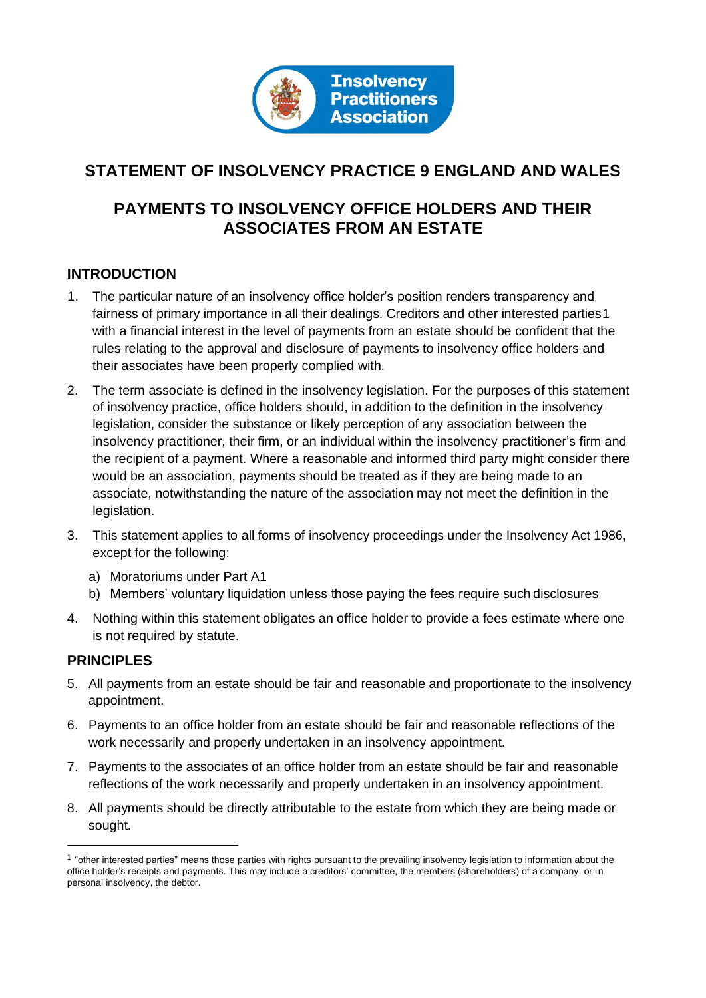<span id="page-0-0"></span>

# **STATEMENT OF INSOLVENCY PRACTICE 9 ENGLAND AND WALES**

# **PAYMENTS TO INSOLVENCY OFFICE HOLDERS AND THEIR ASSOCIATES FROM AN ESTATE**

# **INTRODUCTION**

- 1. The particular nature of an insolvency office holder's position renders transparency and fairness of primary importance in all their dealings. Creditors and other interested parties1 with a financial interest in the level of payments from an estate should be confident that the rules relating to the approval and disclosure of payments to insolvency office holders and their associates have been properly complied with.
- 2. The term associate is defined in the insolvency legislation. For the purposes of this statement of insolvency practice, office holders should, in addition to the definition in the insolvency legislation, consider the substance or likely perception of any association between the insolvency practitioner, their firm, or an individual within the insolvency practitioner's firm and the recipient of a payment. Where a reasonable and informed third party might consider there would be an association, payments should be treated as if they are being made to an associate, notwithstanding the nature of the association may not meet the definition in the legislation.
- 3. This statement applies to all forms of insolvency proceedings under the Insolvency Act 1986, except for the following:
	- a) Moratoriums under Part A1
	- b) Members' voluntary liquidation unless those paying the fees require such disclosures
- 4. Nothing within this statement obligates an office holder to provide a fees estimate where one is not required by statute.

# **PRINCIPLES**

- 5. All payments from an estate should be fair and reasonable and proportionate to the insolvency appointment.
- 6. Payments to an office holder from an estate should be fair and reasonable reflections of the work necessarily and properly undertaken in an insolvency appointment.
- 7. Payments to the associates of an office holder from an estate should be fair and reasonable reflections of the work necessarily and properly undertaken in an insolvency appointment.
- 8. All payments should be directly attributable to the estate from which they are being made or sought.

<sup>&</sup>lt;sup>1</sup> "other interested parties" means those parties with rights pursuant to the prevailing insolvency legislation to information about the office holder's receipts and payments. This may include a creditors' committee, the members (shareholders) of a company, or in personal insolvency, the debtor.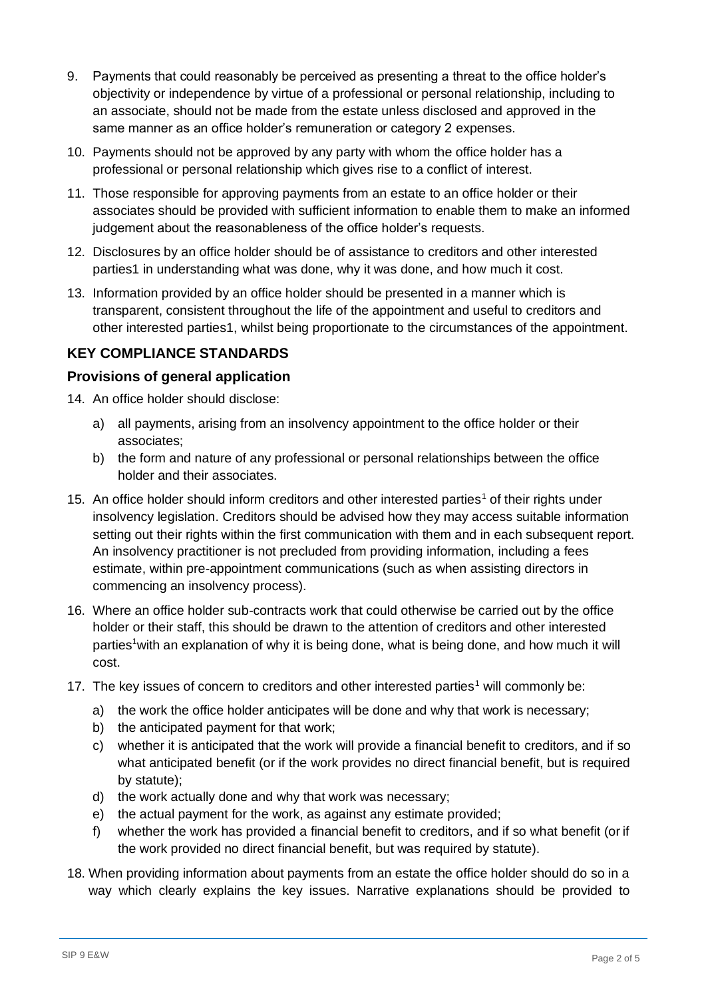- 9. Payments that could reasonably be perceived as presenting a threat to the office holder's objectivity or independence by virtue of a professional or personal relationship, including to an associate, should not be made from the estate unless disclosed and approved in the same manner as an office holder's remuneration or category 2 expenses.
- 10. Payments should not be approved by any party with whom the office holder has a professional or personal relationship which gives rise to a conflict of interest.
- 11. Those responsible for approving payments from an estate to an office holder or their associates should be provided with sufficient information to enable them to make an informed judgement about the reasonableness of the office holder's requests.
- 12. Disclosures by an office holder should be of assistance to creditors and other interested partie[s1](#page-0-0) in understanding what was done, why it was done, and how much it cost.
- 13. Information provided by an office holder should be presented in a manner which is transparent, consistent throughout the life of the appointment and useful to creditors and other interested partie[s1,](#page-0-0) whilst being proportionate to the circumstances of the appointment.

# **KEY COMPLIANCE STANDARDS**

# **Provisions of general application**

- 14. An office holder should disclose:
	- a) all payments, arising from an insolvency appointment to the office holder or their associates;
	- b) the form and nature of any professional or personal relationships between the office holder and their associates.
- 15. An office holder [s](#page-0-0)hould inform creditors and other interested parties<sup>1</sup> of their rights under insolvency legislation. Creditors should be advised how they may access suitable information setting out their rights within the first communication with them and in each subsequent report. An insolvency practitioner is not precluded from providing information, including a fees estimate, within pre-appointment communications (such as when assisting directors in commencing an insolvency process).
- 16. Where an office holder sub-contracts work that could otherwise be carried out by the office holder or their staff, this should be drawn to the attention of creditors and other interested partie[s](#page-0-0)<sup>1</sup> with an explanation of why it is being done, what is being done, and how much it will cost.
- [1](#page-0-0)7. The key issues of concern to creditors and other interested parties<sup>1</sup> will commonly be:
	- a) the work the office holder anticipates will be done and why that work is necessary;
	- b) the anticipated payment for that work;
	- c) whether it is anticipated that the work will provide a financial benefit to creditors, and if so what anticipated benefit (or if the work provides no direct financial benefit, but is required by statute);
	- d) the work actually done and why that work was necessary;
	- e) the actual payment for the work, as against any estimate provided;
	- f) whether the work has provided a financial benefit to creditors, and if so what benefit (or if the work provided no direct financial benefit, but was required by statute).
- 18. When providing information about payments from an estate the office holder should do so in a way which clearly explains the key issues. Narrative explanations should be provided to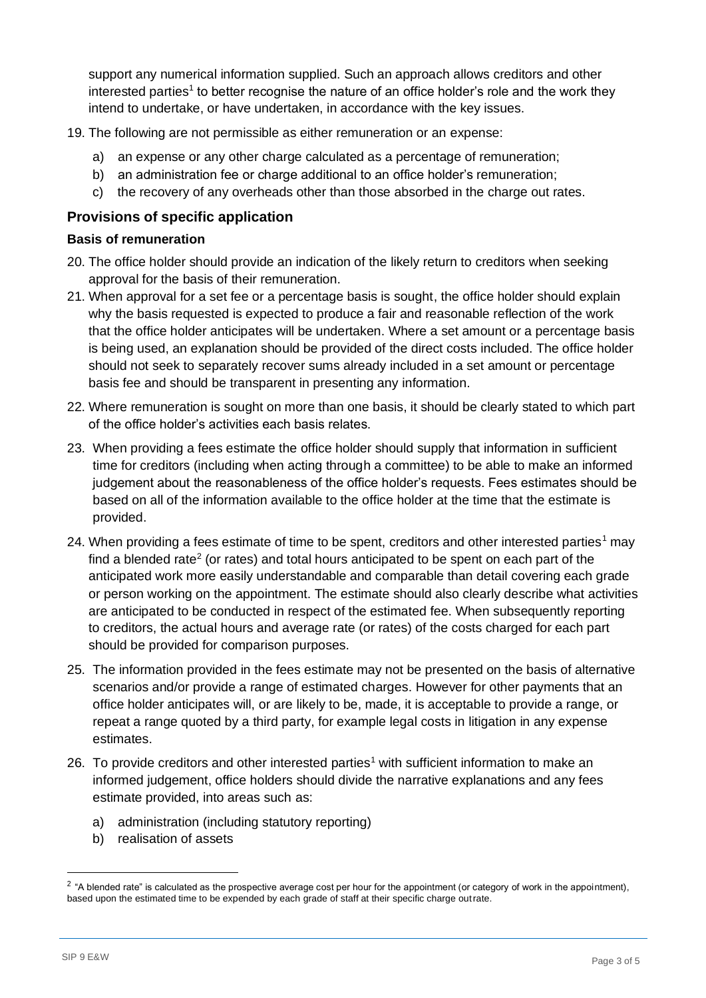support any numerical information supplied. Such an approach allows creditors and other interested parties<sup>[1](#page-0-0)</sup> to better recognise the nature of an office holder's role and the work they intend to undertake, or have undertaken, in accordance with the key issues.

19. The following are not permissible as either remuneration or an expense:

- a) an expense or any other charge calculated as a percentage of remuneration;
- b) an administration fee or charge additional to an office holder's remuneration;
- c) the recovery of any overheads other than those absorbed in the charge out rates.

## **Provisions of specific application**

#### **Basis of remuneration**

- 20. The office holder should provide an indication of the likely return to creditors when seeking approval for the basis of their remuneration.
- 21. When approval for a set fee or a percentage basis is sought, the office holder should explain why the basis requested is expected to produce a fair and reasonable reflection of the work that the office holder anticipates will be undertaken. Where a set amount or a percentage basis is being used, an explanation should be provided of the direct costs included. The office holder should not seek to separately recover sums already included in a set amount or percentage basis fee and should be transparent in presenting any information.
- 22. Where remuneration is sought on more than one basis, it should be clearly stated to which part of the office holder's activities each basis relates.
- 23. When providing a fees estimate the office holder should supply that information in sufficient time for creditors (including when acting through a committee) to be able to make an informed judgement about the reasonableness of the office holder's requests. Fees estimates should be based on all of the information available to the office holder at the time that the estimate is provided.
- 24. When providing a fees estimate of time to be spent, creditors and other interested parties<sup>[1](#page-0-0)</sup> may find a blended rate<sup>2</sup> (or rates) and total hours anticipated to be spent on each part of the anticipated work more easily understandable and comparable than detail covering each grade or person working on the appointment. The estimate should also clearly describe what activities are anticipated to be conducted in respect of the estimated fee. When subsequently reporting to creditors, the actual hours and average rate (or rates) of the costs charged for each part should be provided for comparison purposes.
- 25. The information provided in the fees estimate may not be presented on the basis of alternative scenarios and/or provide a range of estimated charges. However for other payments that an office holder anticipates will, or are likely to be, made, it is acceptable to provide a range, or repeat a range quoted by a third party, for example legal costs in litigation in any expense estimates.
- 26. To provide creditor[s](#page-0-0) and other interested parties<sup>1</sup> with sufficient information to make an informed judgement, office holders should divide the narrative explanations and any fees estimate provided, into areas such as:
	- a) administration (including statutory reporting)
	- b) realisation of assets

 $2$  "A blended rate" is calculated as the prospective average cost per hour for the appointment (or category of work in the appointment), based upon the estimated time to be expended by each grade of staff at their specific charge outrate.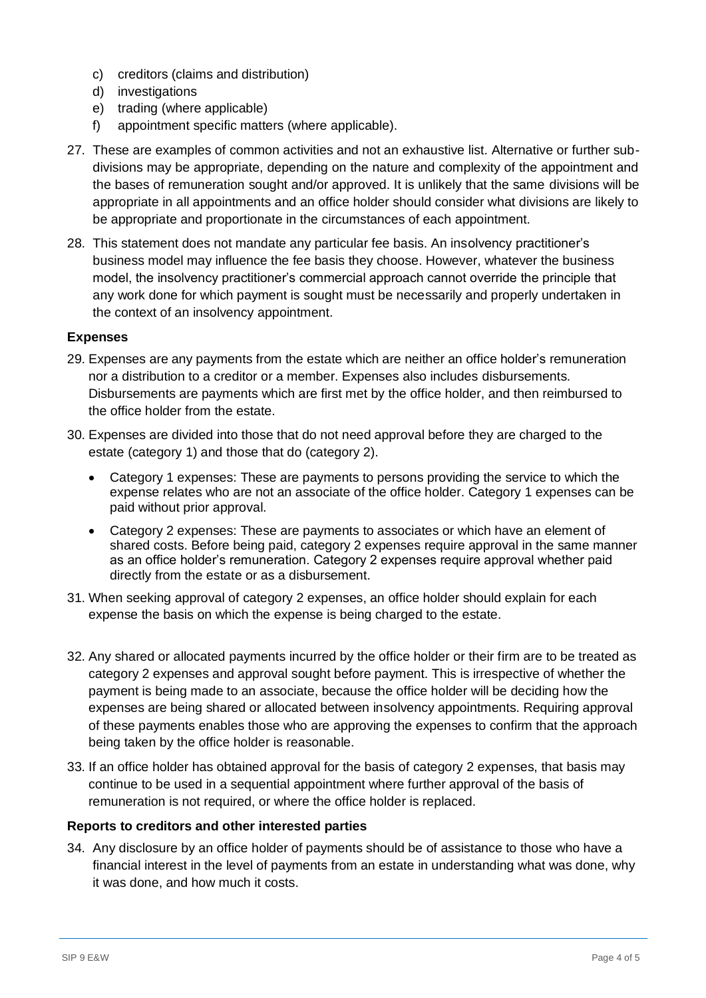- c) creditors (claims and distribution)
- d) investigations
- e) trading (where applicable)
- f) appointment specific matters (where applicable).
- 27. These are examples of common activities and not an exhaustive list. Alternative or further subdivisions may be appropriate, depending on the nature and complexity of the appointment and the bases of remuneration sought and/or approved. It is unlikely that the same divisions will be appropriate in all appointments and an office holder should consider what divisions are likely to be appropriate and proportionate in the circumstances of each appointment.
- 28. This statement does not mandate any particular fee basis. An insolvency practitioner's business model may influence the fee basis they choose. However, whatever the business model, the insolvency practitioner's commercial approach cannot override the principle that any work done for which payment is sought must be necessarily and properly undertaken in the context of an insolvency appointment.

### **Expenses**

- 29. Expenses are any payments from the estate which are neither an office holder's remuneration nor a distribution to a creditor or a member. Expenses also includes disbursements. Disbursements are payments which are first met by the office holder, and then reimbursed to the office holder from the estate.
- 30. Expenses are divided into those that do not need approval before they are charged to the estate (category 1) and those that do (category 2).
	- Category 1 expenses: These are payments to persons providing the service to which the expense relates who are not an associate of the office holder. Category 1 expenses can be paid without prior approval.
	- Category 2 expenses: These are payments to associates or which have an element of shared costs. Before being paid, category 2 expenses require approval in the same manner as an office holder's remuneration. Category 2 expenses require approval whether paid directly from the estate or as a disbursement.
- 31. When seeking approval of category 2 expenses, an office holder should explain for each expense the basis on which the expense is being charged to the estate.
- 32. Any shared or allocated payments incurred by the office holder or their firm are to be treated as category 2 expenses and approval sought before payment. This is irrespective of whether the payment is being made to an associate, because the office holder will be deciding how the expenses are being shared or allocated between insolvency appointments. Requiring approval of these payments enables those who are approving the expenses to confirm that the approach being taken by the office holder is reasonable.
- 33. If an office holder has obtained approval for the basis of category 2 expenses, that basis may continue to be used in a sequential appointment where further approval of the basis of remuneration is not required, or where the office holder is replaced.

#### **Reports to creditors and other interested parties**

34. Any disclosure by an office holder of payments should be of assistance to those who have a financial interest in the level of payments from an estate in understanding what was done, why it was done, and how much it costs.